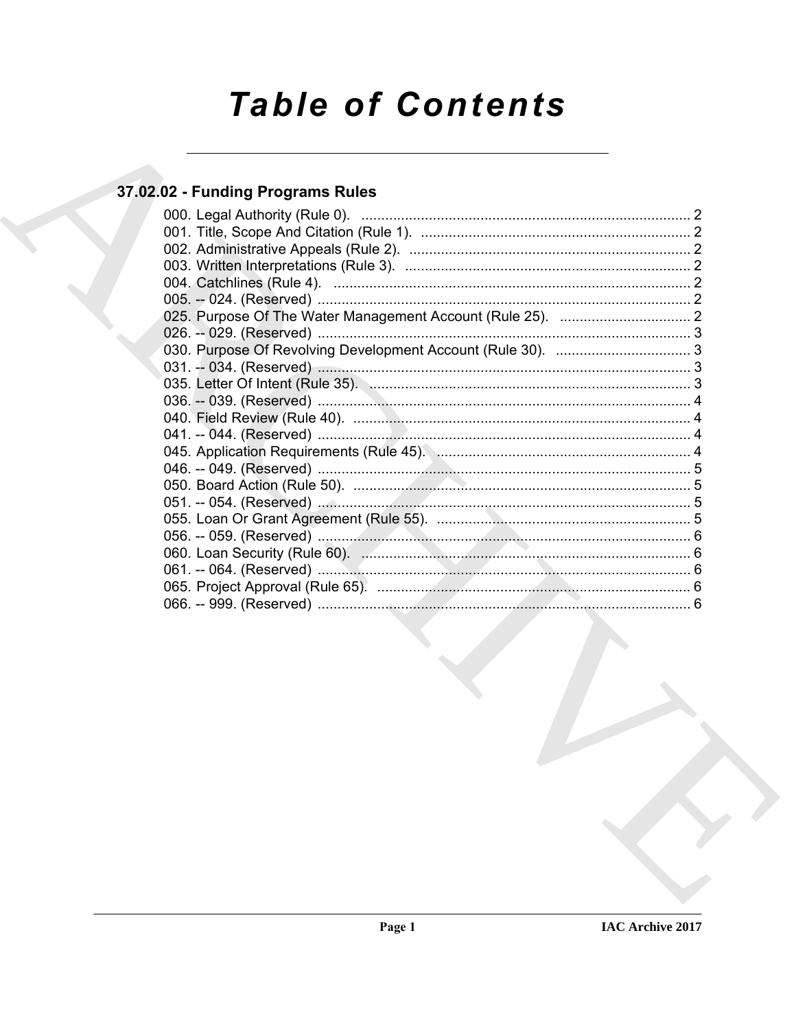# **Table of Contents**

# 37.02.02 - Funding Programs Rules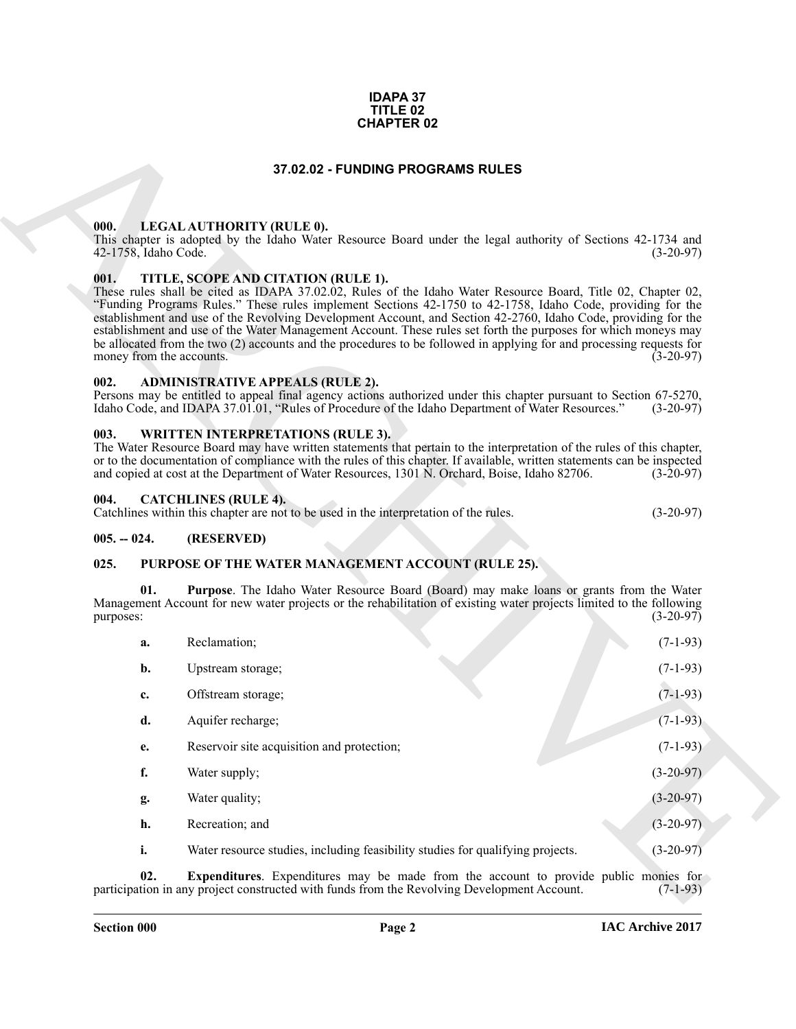#### **IDAPA 37 TITLE 02 CHAPTER 02**

#### **37.02.02 - FUNDING PROGRAMS RULES**

#### <span id="page-1-1"></span><span id="page-1-0"></span>**000. LEGAL AUTHORITY (RULE 0).**

#### <span id="page-1-2"></span>**001. TITLE, SCOPE AND CITATION (RULE 1).**

#### <span id="page-1-3"></span>**002. ADMINISTRATIVE APPEALS (RULE 2).**

#### <span id="page-1-4"></span>**003. WRITTEN INTERPRETATIONS (RULE 3).**

#### <span id="page-1-5"></span>**004. CATCHLINES (RULE 4).**

#### <span id="page-1-6"></span>**005. -- 024. (RESERVED)**

#### <span id="page-1-10"></span><span id="page-1-9"></span><span id="page-1-8"></span><span id="page-1-7"></span>**025. PURPOSE OF THE WATER MANAGEMENT ACCOUNT (RULE 25).**

|                                  | 37.02.02 - FUNDING PROGRAMS RULES                                                                                                                                                                                                                                                                                                                                                                                                                                                                                                                                                                                             |             |
|----------------------------------|-------------------------------------------------------------------------------------------------------------------------------------------------------------------------------------------------------------------------------------------------------------------------------------------------------------------------------------------------------------------------------------------------------------------------------------------------------------------------------------------------------------------------------------------------------------------------------------------------------------------------------|-------------|
|                                  |                                                                                                                                                                                                                                                                                                                                                                                                                                                                                                                                                                                                                               |             |
|                                  |                                                                                                                                                                                                                                                                                                                                                                                                                                                                                                                                                                                                                               |             |
| 000.<br>42-1758, Idaho Code.     | LEGAL AUTHORITY (RULE 0).<br>This chapter is adopted by the Idaho Water Resource Board under the legal authority of Sections 42-1734 and                                                                                                                                                                                                                                                                                                                                                                                                                                                                                      | $(3-20-97)$ |
| 001.<br>money from the accounts. | TITLE, SCOPE AND CITATION (RULE 1).<br>These rules shall be cited as IDAPA 37.02.02, Rules of the Idaho Water Resource Board, Title 02, Chapter 02,<br>"Funding Programs Rules." These rules implement Sections 42-1750 to 42-1758, Idaho Code, providing for the<br>establishment and use of the Revolving Development Account, and Section 42-2760, Idaho Code, providing for the<br>establishment and use of the Water Management Account. These rules set forth the purposes for which moneys may<br>be allocated from the two (2) accounts and the procedures to be followed in applying for and processing requests for | $(3-20-97)$ |
| 002.                             | <b>ADMINISTRATIVE APPEALS (RULE 2).</b><br>Persons may be entitled to appeal final agency actions authorized under this chapter pursuant to Section 67-5270,<br>Idaho Code, and IDAPA 37.01.01, "Rules of Procedure of the Idaho Department of Water Resources."                                                                                                                                                                                                                                                                                                                                                              | $(3-20-97)$ |
| 003.                             | <b>WRITTEN INTERPRETATIONS (RULE 3).</b><br>The Water Resource Board may have written statements that pertain to the interpretation of the rules of this chapter,<br>or to the documentation of compliance with the rules of this chapter. If available, written statements can be inspected<br>and copied at cost at the Department of Water Resources, 1301 N. Orchard, Boise, Idaho 82706.                                                                                                                                                                                                                                 | $(3-20-97)$ |
| 004.                             | <b>CATCHLINES (RULE 4).</b><br>Catchlines within this chapter are not to be used in the interpretation of the rules.                                                                                                                                                                                                                                                                                                                                                                                                                                                                                                          | $(3-20-97)$ |
| $005. - 024.$                    | (RESERVED)                                                                                                                                                                                                                                                                                                                                                                                                                                                                                                                                                                                                                    |             |
| 025.                             | PURPOSE OF THE WATER MANAGEMENT ACCOUNT (RULE 25).                                                                                                                                                                                                                                                                                                                                                                                                                                                                                                                                                                            |             |
| 01.<br>purposes:                 | Purpose. The Idaho Water Resource Board (Board) may make loans or grants from the Water<br>Management Account for new water projects or the rehabilitation of existing water projects limited to the following<br>$(3-20-97)$                                                                                                                                                                                                                                                                                                                                                                                                 |             |
| a.                               | Reclamation;                                                                                                                                                                                                                                                                                                                                                                                                                                                                                                                                                                                                                  | $(7-1-93)$  |
| b.                               | Upstream storage;                                                                                                                                                                                                                                                                                                                                                                                                                                                                                                                                                                                                             | $(7-1-93)$  |
| c.                               | Offstream storage;                                                                                                                                                                                                                                                                                                                                                                                                                                                                                                                                                                                                            | $(7-1-93)$  |
| d.                               | Aquifer recharge;                                                                                                                                                                                                                                                                                                                                                                                                                                                                                                                                                                                                             | $(7-1-93)$  |
| e.                               | Reservoir site acquisition and protection;                                                                                                                                                                                                                                                                                                                                                                                                                                                                                                                                                                                    | $(7-1-93)$  |
| f.                               | Water supply;                                                                                                                                                                                                                                                                                                                                                                                                                                                                                                                                                                                                                 | $(3-20-97)$ |
| g.                               | Water quality;                                                                                                                                                                                                                                                                                                                                                                                                                                                                                                                                                                                                                | $(3-20-97)$ |
|                                  | Recreation; and                                                                                                                                                                                                                                                                                                                                                                                                                                                                                                                                                                                                               | $(3-20-97)$ |
| h.                               |                                                                                                                                                                                                                                                                                                                                                                                                                                                                                                                                                                                                                               |             |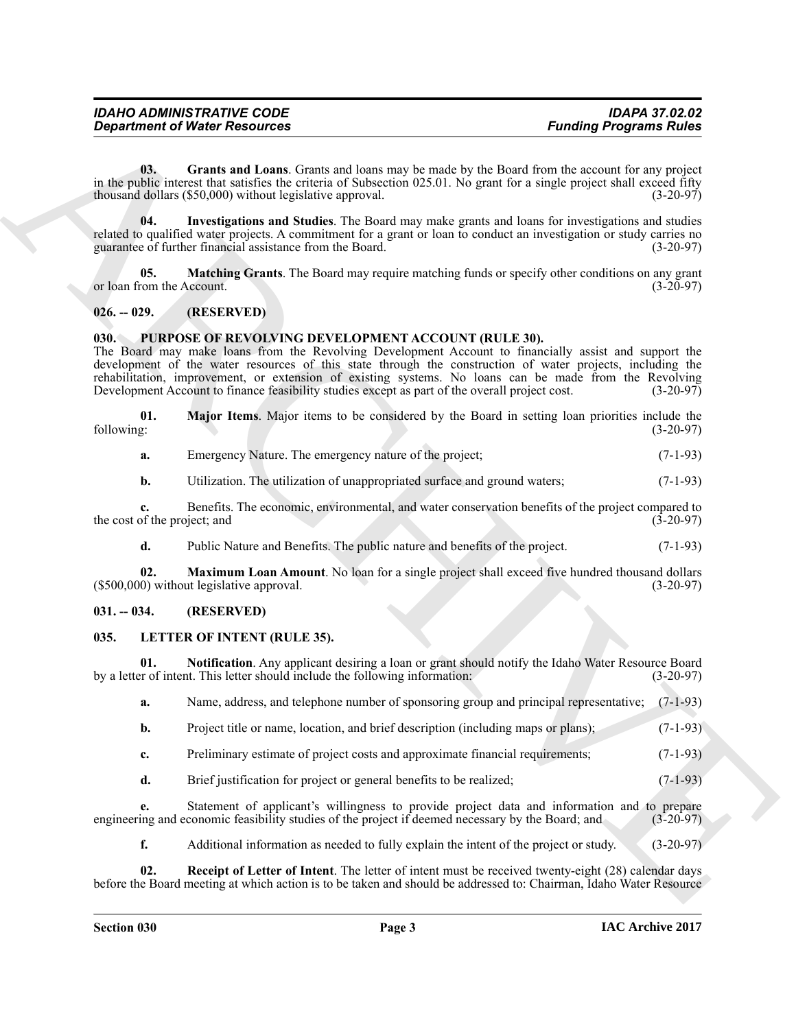<span id="page-2-10"></span>**03. Grants and Loans**. Grants and loans may be made by the Board from the account for any project in the public interest that satisfies the criteria of Subsection 025.01. No grant for a single project shall exceed fifty thousand dollars (\$50.000) without legislative approval. (3-20-97) thousand dollars  $(\$50,000)$  without legislative approval.

<span id="page-2-11"></span>**04. Investigations and Studies**. The Board may make grants and loans for investigations and studies related to qualified water projects. A commitment for a grant or loan to conduct an investigation or study carries no<br>(3-20-97) (3-20-97) guarantee of further financial assistance from the Board.

<span id="page-2-12"></span>**05. Matching Grants**. The Board may require matching funds or specify other conditions on any grant (3-20-97) (3-20-97) or loan from the Account.

#### <span id="page-2-0"></span>**026. -- 029. (RESERVED)**

#### <span id="page-2-7"></span><span id="page-2-1"></span>**030. PURPOSE OF REVOLVING DEVELOPMENT ACCOUNT (RULE 30).**

**Equation of Water Resources**<br>
in the solid Lorenta of Material cand until aim any be easily by the David Unit of Material Resources<br>
in the solid Lorenta Resources<br>
in the solid Lorenta Resources<br>
in the solid Lorenta Re The Board may make loans from the Revolving Development Account to financially assist and support the development of the water resources of this state through the construction of water projects, including the rehabilitation, improvement, or extension of existing systems. No loans can be made from the Revolving Development Account to finance feasibility studies except as part of the overall project cost. (3-20-97)

**01.** Major Items. Major items to be considered by the Board in setting loan priorities include the following: (3-20-97) following: (3-20-97)

<span id="page-2-8"></span>

| а. | Emergency Nature. The emergency nature of the project; | $(7-1-93)$ |
|----|--------------------------------------------------------|------------|
|----|--------------------------------------------------------|------------|

**b.** Utilization. The utilization of unappropriated surface and ground waters;  $(7-1-93)$ 

**c.** Benefits. The economic, environmental, and water conservation benefits of the project compared to of the project; and (3-20-97) the cost of the project; and

<span id="page-2-9"></span>**d.** Public Nature and Benefits. The public nature and benefits of the project. (7-1-93)

**02. Maximum Loan Amount**. No loan for a single project shall exceed five hundred thousand dollars 0) without legislative approval. (3-20-97)  $($500,000)$  without legislative approval.

#### <span id="page-2-2"></span>**031. -- 034. (RESERVED)**

#### <span id="page-2-4"></span><span id="page-2-3"></span>**035. LETTER OF INTENT (RULE 35).**

**01. Notification**. Any applicant desiring a loan or grant should notify the Idaho Water Resource Board or of intent. This letter should include the following information: (3-20-97) by a letter of intent. This letter should include the following information:

<span id="page-2-5"></span>**a.** Name, address, and telephone number of sponsoring group and principal representative; (7-1-93)

- **b.** Project title or name, location, and brief description (including maps or plans); (7-1-93)
- **c.** Preliminary estimate of project costs and approximate financial requirements; (7-1-93)
- **d.** Brief justification for project or general benefits to be realized; (7-1-93)

**e.** Statement of applicant's willingness to provide project data and information and to prepare engineering and economic feasibility studies of the project if deemed necessary by the Board; and (3-20-97)

<span id="page-2-6"></span>**f.** Additional information as needed to fully explain the intent of the project or study. (3-20-97)

**02. Receipt of Letter of Intent**. The letter of intent must be received twenty-eight (28) calendar days before the Board meeting at which action is to be taken and should be addressed to: Chairman, Idaho Water Resource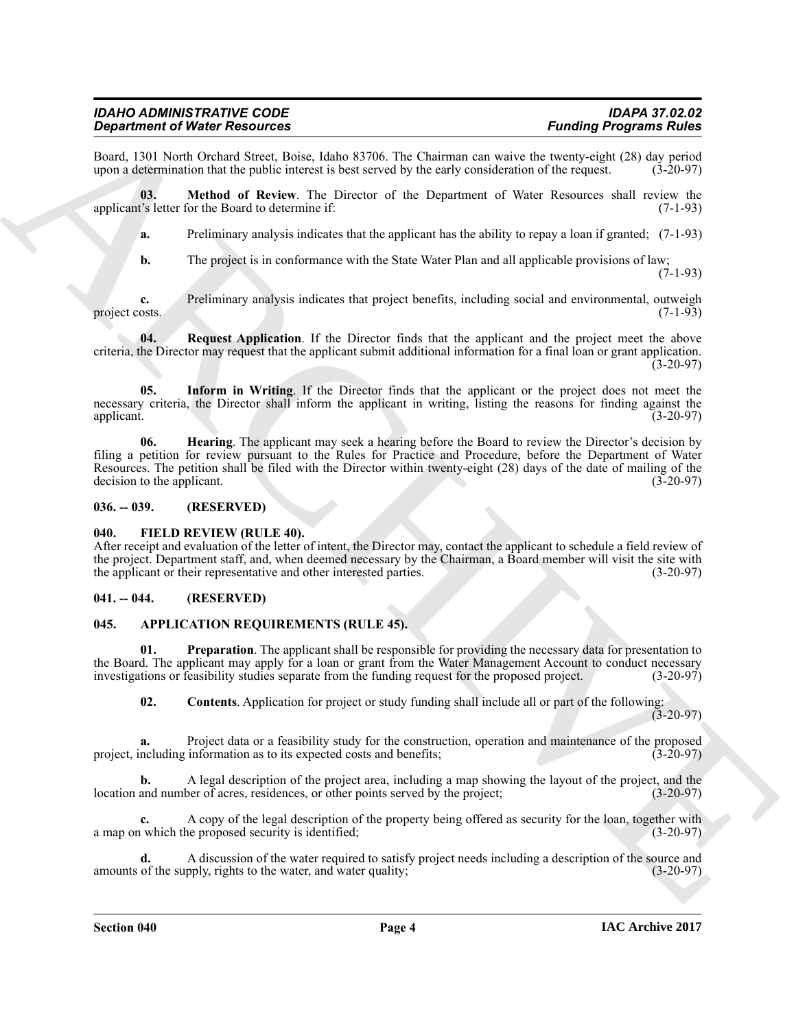#### *IDAHO ADMINISTRATIVE CODE IDAPA 37.02.02 Department of Water Resources*

Board, 1301 North Orchard Street, Boise, Idaho 83706. The Chairman can waive the twenty-eight (28) day period upon a determination that the public interest is best served by the early consideration of the request. (3-20-97 upon a determination that the public interest is best served by the early consideration of the request.

**03. Method of Review**. The Director of the Department of Water Resources shall review the applicant's letter for the Board to determine if: (7-1-93)

<span id="page-3-10"></span>**a.** Preliminary analysis indicates that the applicant has the ability to repay a loan if granted; (7-1-93)

<span id="page-3-11"></span>**b.** The project is in conformance with the State Water Plan and all applicable provisions of law; (7-1-93)

**c.** Preliminary analysis indicates that project benefits, including social and environmental, outweigh osts. (7-1-93) project costs.

**04.** Request Application. If the Director finds that the applicant and the project meet the above criteria, the Director may request that the applicant submit additional information for a final loan or grant application.  $(3-20-97)$ 

<span id="page-3-9"></span><span id="page-3-8"></span>**05. Inform in Writing**. If the Director finds that the applicant or the project does not meet the necessary criteria, the Director shall inform the applicant in writing, listing the reasons for finding against the applicant. (3-20-97) applicant. (3-20-97)

**Signal method Walker News Addies 3370b**, the Channel can easily leading the signal method in the properties of the signal method in the signal method in the signal method in the signal method in the signal method in the **06. Hearing**. The applicant may seek a hearing before the Board to review the Director's decision by filing a petition for review pursuant to the Rules for Practice and Procedure, before the Department of Water Resources. The petition shall be filed with the Director within twenty-eight (28) days of the date of mailing of the decision to the applicant. (3-20-97) decision to the applicant.

#### <span id="page-3-0"></span>**036. -- 039. (RESERVED)**

#### <span id="page-3-7"></span><span id="page-3-1"></span>**040. FIELD REVIEW (RULE 40).**

After receipt and evaluation of the letter of intent, the Director may, contact the applicant to schedule a field review of the project. Department staff, and, when deemed necessary by the Chairman, a Board member will visit the site with the applicant or their representative and other interested parties. (3-20-97) the applicant or their representative and other interested parties.

### <span id="page-3-2"></span>**041. -- 044. (RESERVED)**

#### <span id="page-3-4"></span><span id="page-3-3"></span>**045. APPLICATION REQUIREMENTS (RULE 45).**

**01. Preparation**. The applicant shall be responsible for providing the necessary data for presentation to the Board. The applicant may apply for a loan or grant from the Water Management Account to conduct necessary<br>investigations or feasibility studies separate from the funding request for the proposed project. (3-20-97) investigations or feasibility studies separate from the funding request for the proposed project.

<span id="page-3-6"></span><span id="page-3-5"></span>**02. Contents**. Application for project or study funding shall include all or part of the following:

 $(3-20-97)$ 

Project data or a feasibility study for the construction, operation and maintenance of the proposed information as to its expected costs and benefits: (3-20-97) project, including information as to its expected costs and benefits;

**b.** A legal description of the project area, including a map showing the layout of the project, and the and number of acres, residences, or other points served by the project; (3-20-97) location and number of acres, residences, or other points served by the project;

**c.** A copy of the legal description of the property being offered as security for the loan, together with which the proposed security is identified; (3-20-97) a map on which the proposed security is identified;

**d.** A discussion of the water required to satisfy project needs including a description of the source and of the supply, rights to the water, and water quality; (3-20-97) amounts of the supply, rights to the water, and water quality;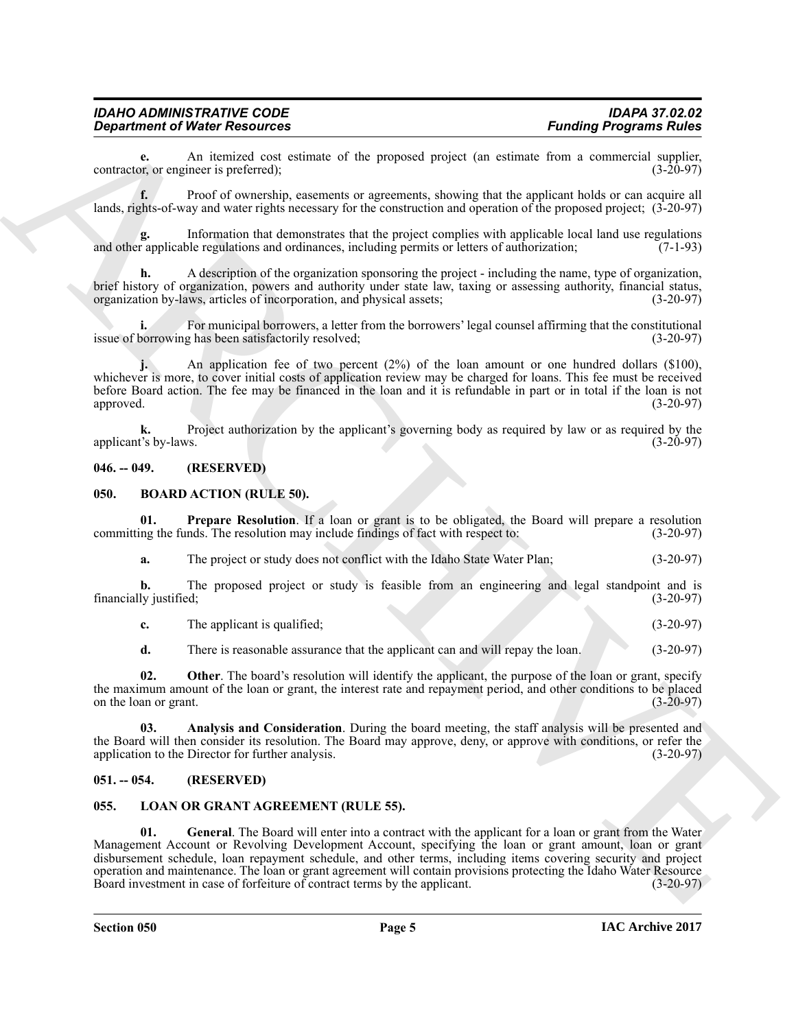#### *IDAHO ADMINISTRATIVE CODE IDAPA 37.02.02 Department of Water Resources*

**e.** An itemized cost estimate of the proposed project (an estimate from a commercial supplier, or engineer is preferred): contractor, or engineer is preferred);

**f.** Proof of ownership, easements or agreements, showing that the applicant holds or can acquire all lands, rights-of-way and water rights necessary for the construction and operation of the proposed project; (3-20-97)

**g.** Information that demonstrates that the project complies with applicable local land use regulations and other applicable regulations and ordinances, including permits or letters of authorization; (7-1-93)

**h.** A description of the organization sponsoring the project - including the name, type of organization, brief history of organization, powers and authority under state law, taxing or assessing authority, financial status, organization by-laws, articles of incorporation, and physical assets; (3-20-97) organization by-laws, articles of incorporation, and physical assets;

**i.** For municipal borrowers, a letter from the borrowers' legal counsel affirming that the constitutional issue of borrowing has been satisfactorily resolved; (3-20-97)

**j.** An application fee of two percent (2%) of the loan amount or one hundred dollars (\$100), whichever is more, to cover initial costs of application review may be charged for loans. This fee must be received before Board action. The fee may be financed in the loan and it is refundable in part or in total if the loan is not approved. (3-20-97)

**k.** Project authorization by the applicant's governing body as required by law or as required by the t's by-laws. (3-20-97) applicant's by-laws.

#### <span id="page-4-0"></span>**046. -- 049. (RESERVED)**

#### <span id="page-4-4"></span><span id="page-4-1"></span>**050. BOARD ACTION (RULE 50).**

**01. Prepare Resolution**. If a loan or grant is to be obligated, the Board will prepare a resolution ing the funds. The resolution may include findings of fact with respect to: (3-20-97) committing the funds. The resolution may include findings of fact with respect to:

<span id="page-4-7"></span>**a.** The project or study does not conflict with the Idaho State Water Plan; (3-20-97)

**b.** The proposed project or study is feasible from an engineering and legal standpoint and is ly justified; (3-20-97) financially justified;

**c.** The applicant is qualified: (3-20-97)

<span id="page-4-6"></span><span id="page-4-5"></span>**d.** There is reasonable assurance that the applicant can and will repay the loan. (3-20-97)

**02.** Other. The board's resolution will identify the applicant, the purpose of the loan or grant, specify the maximum amount of the loan or grant, the interest rate and repayment period, and other conditions to be placed<br>(3-20-97)<br>(3-20-97) on the loan or grant.

**03. Analysis and Consideration**. During the board meeting, the staff analysis will be presented and the Board will then consider its resolution. The Board may approve, deny, or approve with conditions, or refer the application to the Director for further analysis. (3-20-97) application to the Director for further analysis.

#### <span id="page-4-2"></span>**051. -- 054. (RESERVED)**

#### <span id="page-4-9"></span><span id="page-4-8"></span><span id="page-4-3"></span>**055. LOAN OR GRANT AGREEMENT (RULE 55).**

**Equation of New Processings**. Fundamental formulation is the proposal project for static bond incomes a product static system and the static system and the static control of the static system and the static system and th **01. General**. The Board will enter into a contract with the applicant for a loan or grant from the Water Management Account or Revolving Development Account, specifying the loan or grant amount, loan or grant disbursement schedule, loan repayment schedule, and other terms, including items covering security and project operation and maintenance. The loan or grant agreement will contain provisions protecting the Idaho Water Resource<br>Board investment in case of forfeiture of contract terms by the applicant. (3-20-97) Board investment in case of forfeiture of contract terms by the applicant.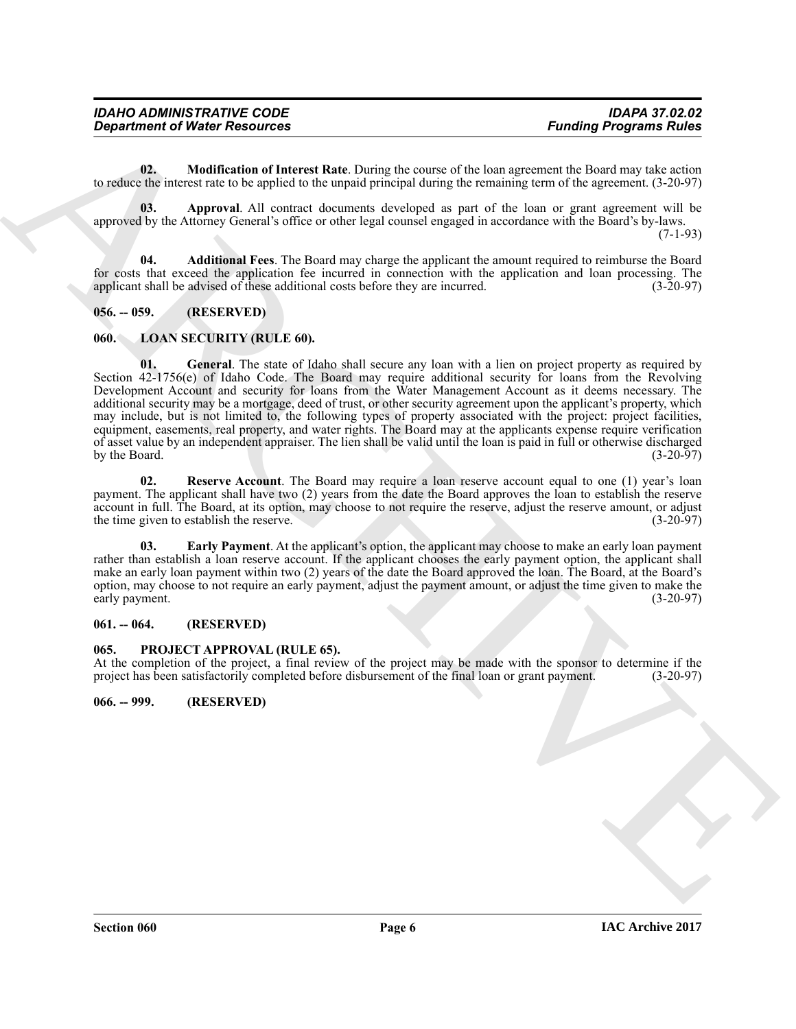| <b>IDAHO ADMINISTRATIVE CODE</b>     | <b>IDAPA 37.02.02</b>         |
|--------------------------------------|-------------------------------|
| <b>Department of Water Resources</b> | <b>Funding Programs Rules</b> |

<span id="page-5-7"></span>**02. Modification of Interest Rate**. During the course of the loan agreement the Board may take action to reduce the interest rate to be applied to the unpaid principal during the remaining term of the agreement. (3-20-97)

<span id="page-5-6"></span>**03. Approval**. All contract documents developed as part of the loan or grant agreement will be approved by the Attorney General's office or other legal counsel engaged in accordance with the Board's by-laws.  $(7-1-93)$ 

<span id="page-5-5"></span>**04. Additional Fees**. The Board may charge the applicant the amount required to reimburse the Board for costs that exceed the application fee incurred in connection with the application and loan processing. The applicant shall be advised of these additional costs before they are incurred. (3-20-97) applicant shall be advised of these additional costs before they are incurred.

#### <span id="page-5-0"></span>**056. -- 059. (RESERVED)**

#### <span id="page-5-10"></span><span id="page-5-8"></span><span id="page-5-1"></span>**060. LOAN SECURITY (RULE 60).**

**Equation of Water Resources**<br> **Equation Properties Control Resources**<br> **Equation of the transfer of the example of the properties (a) and a section of the distribution of the state<br>
to the state of the example of the exa 01. General**. The state of Idaho shall secure any loan with a lien on project property as required by Section 42-1756(e) of Idaho Code. The Board may require additional security for loans from the Revolving Development Account and security for loans from the Water Management Account as it deems necessary. The additional security may be a mortgage, deed of trust, or other security agreement upon the applicant's property, which may include, but is not limited to, the following types of property associated with the project: project facilities, equipment, easements, real property, and water rights. The Board may at the applicants expense require verification of asset value by an independent appraiser. The lien shall be valid until the loan is paid in full or otherwise discharged<br>(3-20-97) by the Board.

<span id="page-5-11"></span>**02.** Reserve Account. The Board may require a loan reserve account equal to one (1) year's loan payment. The applicant shall have two (2) years from the date the Board approves the loan to establish the reserve account in full. The Board, at its option, may choose to not require the reserve, adjust the reserve amount, or adjust the time given to establish the reserve. the time given to establish the reserve.

<span id="page-5-9"></span>**03. Early Payment**. At the applicant's option, the applicant may choose to make an early loan payment rather than establish a loan reserve account. If the applicant chooses the early payment option, the applicant shall make an early loan payment within two (2) years of the date the Board approved the loan. The Board, at the Board's option, may choose to not require an early payment, adjust the payment amount, or adjust the time given to make the early payment.

#### <span id="page-5-2"></span>**061. -- 064. (RESERVED)**

#### <span id="page-5-12"></span><span id="page-5-3"></span>**065. PROJECT APPROVAL (RULE 65).**

At the completion of the project, a final review of the project may be made with the sponsor to determine if the project has been satisfactorily completed before disbursement of the final loan or grant payment. (3-20-97) project has been satisfactorily completed before disbursement of the final loan or grant payment.

<span id="page-5-4"></span>**066. -- 999. (RESERVED)**